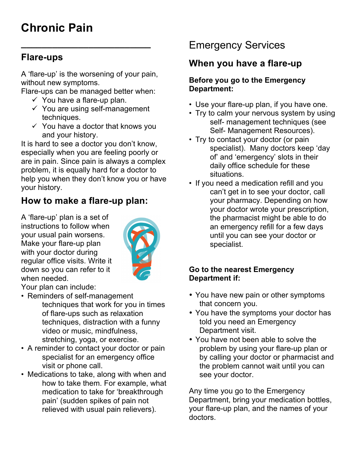# **Chronic Pain**

### **Flare-ups**

A 'flare-up' is the worsening of your pain, without new symptoms.

**\_\_\_\_\_\_\_\_\_\_\_\_\_\_\_\_\_\_\_\_\_\_\_\_\_**

Flare-ups can be managed better when:

- $\checkmark$  You have a flare-up plan.
- $\checkmark$  You are using self-management techniques.
- $\checkmark$  You have a doctor that knows you and your history.

It is hard to see a doctor you don't know, especially when you are feeling poorly or are in pain. Since pain is always a complex problem, it is equally hard for a doctor to help you when they don't know you or have your history.

## **How to make a flare-up plan:**

A 'flare-up' plan is a set of instructions to follow when your usual pain worsens. Make your flare-up plan with your doctor during regular office visits. Write it down so you can refer to it when needed.



Your plan can include:

- Reminders of self-management techniques that work for you in times of flare-ups such as relaxation techniques, distraction with a funny video or music, mindfulness, stretching, yoga, or exercise.
- A reminder to contact your doctor or pain specialist for an emergency office visit or phone call.
- Medications to take, along with when and how to take them. For example, what medication to take for 'breakthrough pain' (sudden spikes of pain not relieved with usual pain relievers).

## Emergency Services

## **When you have a flare-up**

#### **Before you go to the Emergency Department:**

- Use your flare-up plan, if you have one.
- Try to calm your nervous system by using self- management techniques (see Self- Management Resources).
- Try to contact your doctor (or pain specialist). Many doctors keep 'day of' and 'emergency' slots in their daily office schedule for these situations.
- If you need a medication refill and you can't get in to see your doctor, call your pharmacy. Depending on how your doctor wrote your prescription, the pharmacist might be able to do an emergency refill for a few days until you can see your doctor or specialist.

#### **Go to the nearest Emergency Department if:**

- You have new pain or other symptoms that concern you.
- You have the symptoms your doctor has told you need an Emergency Department visit.
- You have not been able to solve the problem by using your flare-up plan or by calling your doctor or pharmacist and the problem cannot wait until you can see your doctor.

Any time you go to the Emergency Department, bring your medication bottles, your flare-up plan, and the names of your doctors.